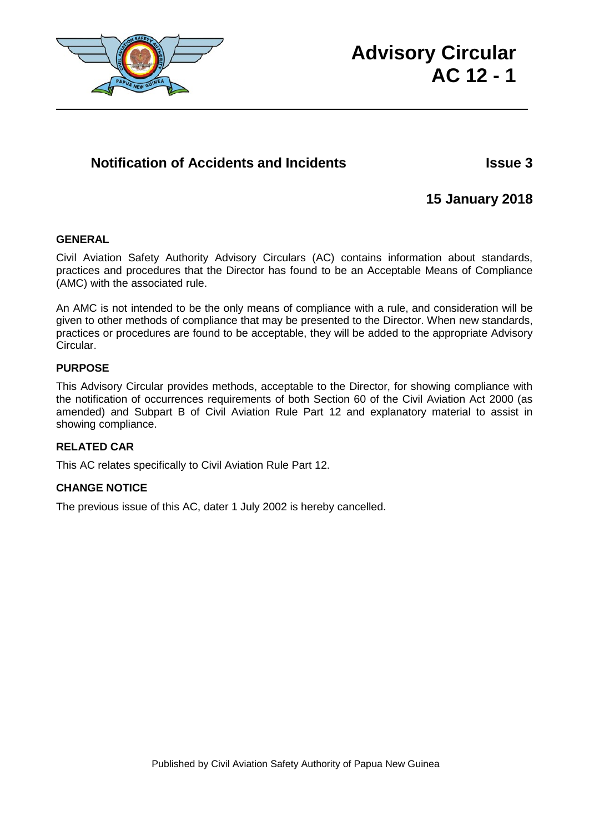

# **Advisory Circular AC 12 - 1**

# **Notification of Accidents and Incidents Issue 3**

# **15 January 2018**

### **GENERAL**

Civil Aviation Safety Authority Advisory Circulars (AC) contains information about standards, practices and procedures that the Director has found to be an Acceptable Means of Compliance (AMC) with the associated rule.

An AMC is not intended to be the only means of compliance with a rule, and consideration will be given to other methods of compliance that may be presented to the Director. When new standards, practices or procedures are found to be acceptable, they will be added to the appropriate Advisory Circular.

### **PURPOSE**

This Advisory Circular provides methods, acceptable to the Director, for showing compliance with the notification of occurrences requirements of both Section 60 of the Civil Aviation Act 2000 (as amended) and Subpart B of Civil Aviation Rule Part 12 and explanatory material to assist in showing compliance.

## **RELATED CAR**

This AC relates specifically to Civil Aviation Rule Part 12.

### **CHANGE NOTICE**

The previous issue of this AC, dater 1 July 2002 is hereby cancelled.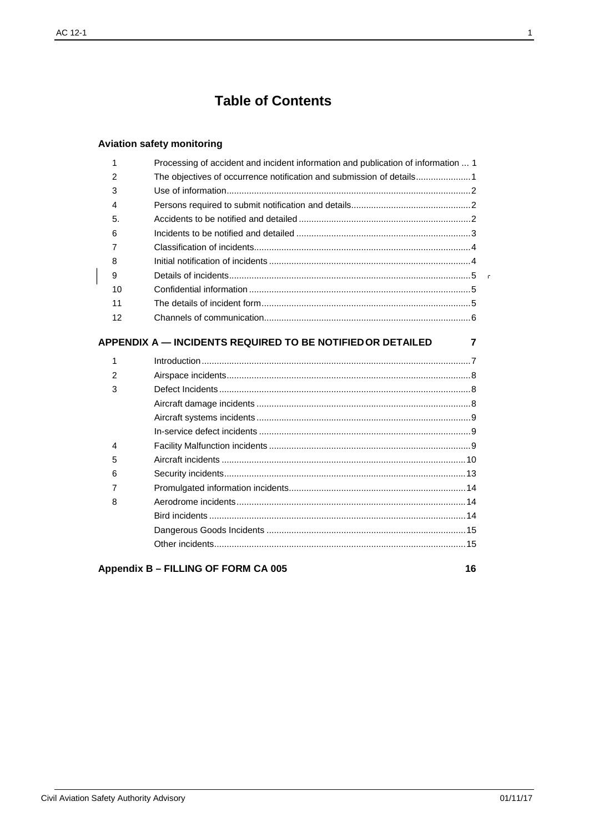# **Table of Contents**

# Aviation safety monitoring

| 1              | Processing of accident and incident information and publication of information  1 |
|----------------|-----------------------------------------------------------------------------------|
| 2              | The objectives of occurrence notification and submission of details1              |
| 3              |                                                                                   |
| 4              |                                                                                   |
| 5.             |                                                                                   |
| 6              |                                                                                   |
| 7              |                                                                                   |
| 8              |                                                                                   |
| 9              |                                                                                   |
| 10             |                                                                                   |
| 11             |                                                                                   |
| 12             |                                                                                   |
|                |                                                                                   |
|                | <b>APPENDIX A — INCIDENTS REQUIRED TO BE NOTIFIED OR DETAILED</b><br>7            |
| 1              |                                                                                   |
| $\overline{2}$ |                                                                                   |
| 3              |                                                                                   |
|                |                                                                                   |
|                |                                                                                   |
|                |                                                                                   |
| 4              |                                                                                   |
| 5              |                                                                                   |
| 6              |                                                                                   |
| 7              |                                                                                   |
| 8              |                                                                                   |
|                |                                                                                   |
|                |                                                                                   |
|                |                                                                                   |
|                |                                                                                   |

Appendix B - FILLING OF FORM CA 005

16

 $\bar{\Gamma}$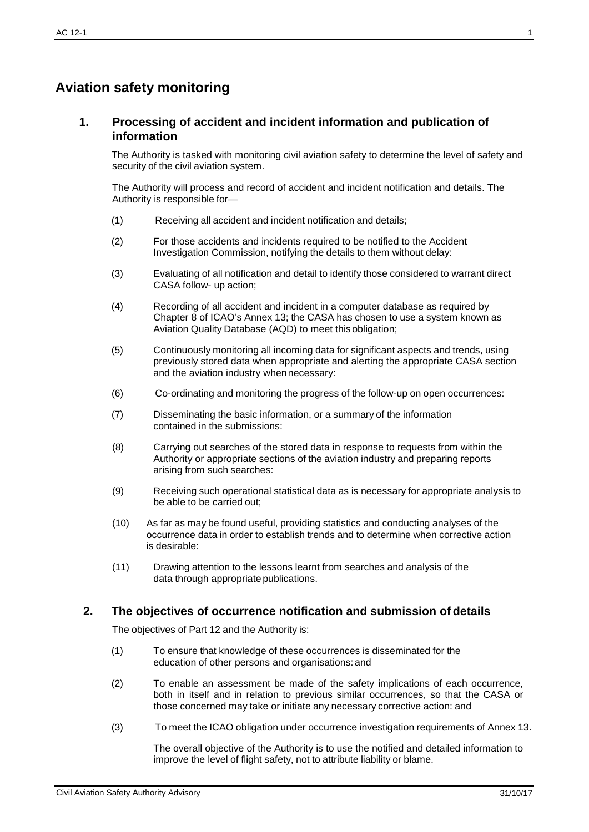# <span id="page-2-0"></span>**Aviation safety monitoring**

### **1. Processing of accident and incident information and publication of information**

The Authority is tasked with monitoring civil aviation safety to determine the level of safety and security of the civil aviation system.

The Authority will process and record of accident and incident notification and details. The Authority is responsible for—

- (1) Receiving all accident and incident notification and details;
- (2) For those accidents and incidents required to be notified to the Accident Investigation Commission, notifying the details to them without delay:
- (3) Evaluating of all notification and detail to identify those considered to warrant direct CASA follow- up action;
- (4) Recording of all accident and incident in a computer database as required by Chapter 8 of ICAO's Annex 13; the CASA has chosen to use a system known as Aviation Quality Database (AQD) to meet this obligation;
- (5) Continuously monitoring all incoming data for significant aspects and trends, using previously stored data when appropriate and alerting the appropriate CASA section and the aviation industry whennecessary:
- (6) Co-ordinating and monitoring the progress of the follow-up on open occurrences:
- (7) Disseminating the basic information, or a summary of the information contained in the submissions:
- (8) Carrying out searches of the stored data in response to requests from within the Authority or appropriate sections of the aviation industry and preparing reports arising from such searches:
- (9) Receiving such operational statistical data as is necessary for appropriate analysis to be able to be carried out;
- (10) As far as may be found useful, providing statistics and conducting analyses of the occurrence data in order to establish trends and to determine when corrective action is desirable:
- (11) Drawing attention to the lessons learnt from searches and analysis of the data through appropriate publications.

### <span id="page-2-1"></span>**2. The objectives of occurrence notification and submission of details**

The objectives of Part 12 and the Authority is:

- (1) To ensure that knowledge of these occurrences is disseminated for the education of other persons and organisations: and
- (2) To enable an assessment be made of the safety implications of each occurrence, both in itself and in relation to previous similar occurrences, so that the CASA or those concerned may take or initiate any necessary corrective action: and
- (3) To meet the ICAO obligation under occurrence investigation requirements of Annex 13.

The overall objective of the Authority is to use the notified and detailed information to improve the level of flight safety, not to attribute liability or blame.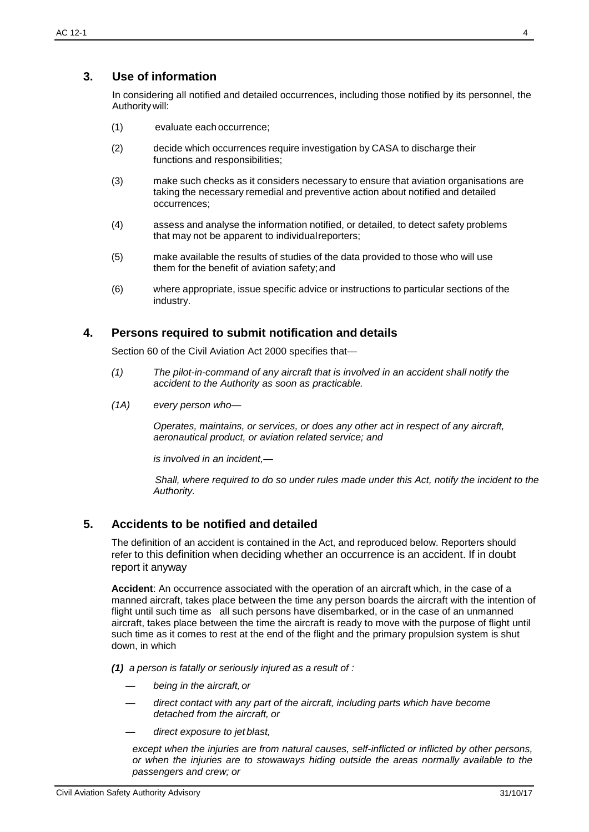## <span id="page-3-0"></span>**3. Use of information**

In considering all notified and detailed occurrences, including those notified by its personnel, the Authoritywill:

- (1) evaluate each occurrence;
- (2) decide which occurrences require investigation by CASA to discharge their functions and responsibilities;
- (3) make such checks as it considers necessary to ensure that aviation organisations are taking the necessary remedial and preventive action about notified and detailed occurrences;
- (4) assess and analyse the information notified, or detailed, to detect safety problems that may not be apparent to individualreporters;
- (5) make available the results of studies of the data provided to those who will use them for the benefit of aviation safety; and
- (6) where appropriate, issue specific advice or instructions to particular sections of the industry.

### <span id="page-3-1"></span>**4. Persons required to submit notification and details**

Section 60 of the Civil Aviation Act 2000 specifies that—

- *(1) The pilot-in-command of any aircraft that is involved in an accident shall notify the accident to the Authority as soon as practicable.*
- *(1A) every person who—*

*Operates, maintains, or services, or does any other act in respect of any aircraft, aeronautical product, or aviation related service; and*

*is involved in an incident,—*

*Shall, where required to do so under rules made under this Act, notify the incident to the Authority.*

### <span id="page-3-2"></span>**5. Accidents to be notified and detailed**

The definition of an accident is contained in the Act, and reproduced below. Reporters should refer to this definition when deciding whether an occurrence is an accident. If in doubt report it anyway

**Accident**: An occurrence associated with the operation of an aircraft which, in the case of a manned aircraft, takes place between the time any person boards the aircraft with the intention of flight until such time as all such persons have disembarked, or in the case of an unmanned aircraft, takes place between the time the aircraft is ready to move with the purpose of flight until such time as it comes to rest at the end of the flight and the primary propulsion system is shut down, in which

*(1) a person is fatally or seriously injured as a result of :*

- *— being in the aircraft, or*
- direct contact with any part of the aircraft, including parts which have become *detached from the aircraft, or*
- *— direct exposure to jet blast,*

*except when the injuries are from natural causes, self-inflicted or inflicted by other persons, or when the injuries are to stowaways hiding outside the areas normally available to the passengers and crew; or*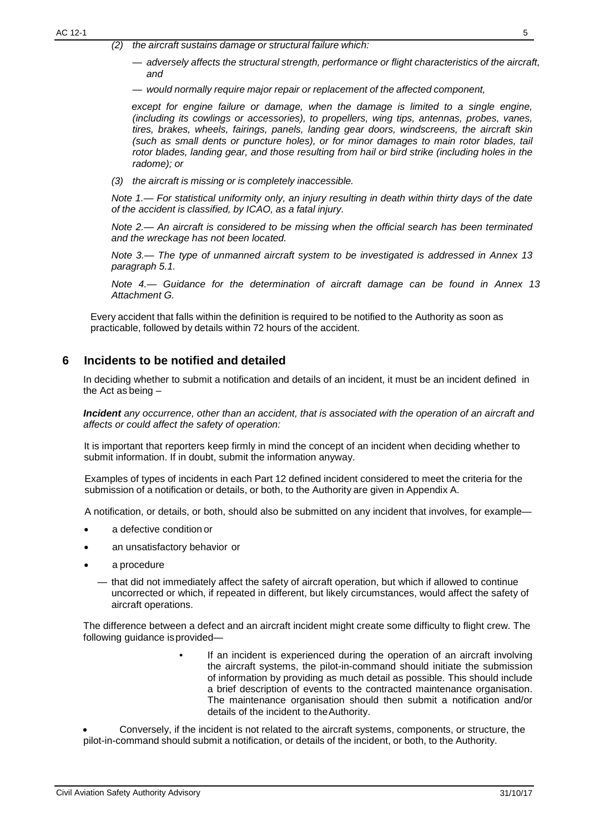- *(2) the aircraft sustains damage or structural failure which:*
	- *— adversely affects the structural strength, performance or flight characteristics of the aircraft, and*
	- *— would normally require major repair or replacement of the affected component,*

*except for engine failure or damage, when the damage is limited to a single engine, (including its cowlings or accessories), to propellers, wing tips, antennas, probes, vanes, tires, brakes, wheels, fairings, panels, landing gear doors, windscreens, the aircraft skin (such as small dents or puncture holes), or for minor damages to main rotor blades, tail rotor blades, landing gear, and those resulting from hail or bird strike (including holes in the radome); or*

*(3) the aircraft is missing or is completely inaccessible.*

*Note 1.— For statistical uniformity only, an injury resulting in death within thirty days of the date of the accident is classified, by ICAO, as a fatal injury.*

*Note 2.— An aircraft is considered to be missing when the official search has been terminated and the wreckage has not been located.*

*Note 3.— The type of unmanned aircraft system to be investigated is addressed in Annex 13 paragraph 5.1.*

*Note 4.— Guidance for the determination of aircraft damage can be found in Annex 13 Attachment G.*

Every accident that falls within the definition is required to be notified to the Authority as soon as practicable, followed by details within 72 hours of the accident.

## <span id="page-4-0"></span>**6 Incidents to be notified and detailed**

In deciding whether to submit a notification and details of an incident, it must be an incident defined in the Act as being –

*Incident any occurrence, other than an accident, that is associated with the operation of an aircraft and affects or could affect the safety of operation:*

It is important that reporters keep firmly in mind the concept of an incident when deciding whether to submit information. If in doubt, submit the information anyway.

Examples of types of incidents in each Part 12 defined incident considered to meet the criteria for the submission of a notification or details, or both, to the Authority are given in Appendix A.

A notification, or details, or both, should also be submitted on any incident that involves, for example—

- a defective condition or
- an unsatisfactory behavior or
- a procedure
	- *—* that did not immediately affect the safety of aircraft operation, but which if allowed to continue uncorrected or which, if repeated in different, but likely circumstances, would affect the safety of aircraft operations.

The difference between a defect and an aircraft incident might create some difficulty to flight crew. The following guidance isprovided—

> If an incident is experienced during the operation of an aircraft involving the aircraft systems, the pilot-in-command should initiate the submission of information by providing as much detail as possible. This should include a brief description of events to the contracted maintenance organisation. The maintenance organisation should then submit a notification and/or details of the incident to theAuthority.

• Conversely, if the incident is not related to the aircraft systems, components, or structure, the pilot-in-command should submit a notification, or details of the incident, or both, to the Authority.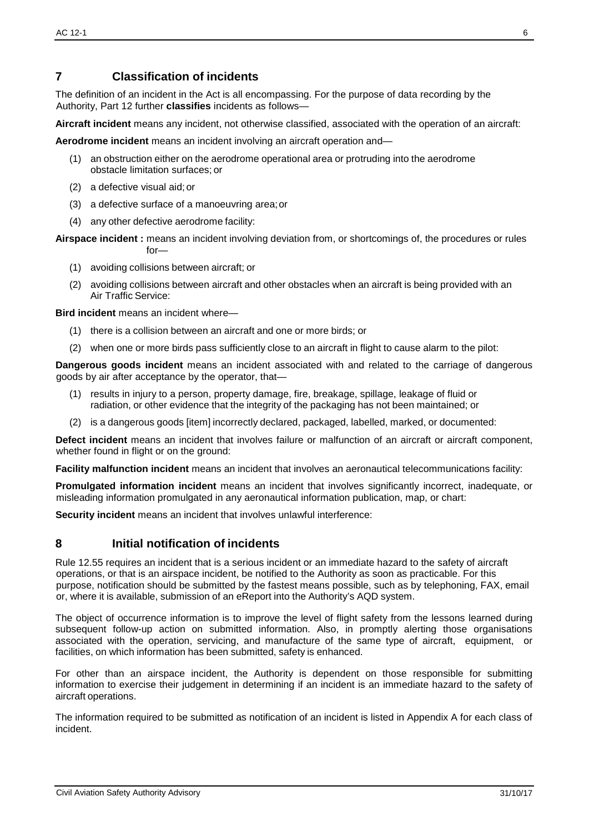# <span id="page-5-0"></span>**7 Classification of incidents**

The definition of an incident in the Act is all encompassing. For the purpose of data recording by the Authority, Part 12 further **classifies** incidents as follows—

**Aircraft incident** means any incident, not otherwise classified, associated with the operation of an aircraft:

**Aerodrome incident** means an incident involving an aircraft operation and—

- (1) an obstruction either on the aerodrome operational area or protruding into the aerodrome obstacle limitation surfaces; or
- (2) a defective visual aid; or
- (3) a defective surface of a manoeuvring area;or
- (4) any other defective aerodrome facility:

**Airspace incident :** means an incident involving deviation from, or shortcomings of, the procedures or rules  $for-$ 

- (1) avoiding collisions between aircraft; or
- (2) avoiding collisions between aircraft and other obstacles when an aircraft is being provided with an Air Traffic Service:

**Bird incident** means an incident where—

- (1) there is a collision between an aircraft and one or more birds; or
- (2) when one or more birds pass sufficiently close to an aircraft in flight to cause alarm to the pilot:

**Dangerous goods incident** means an incident associated with and related to the carriage of dangerous goods by air after acceptance by the operator, that—

- (1) results in injury to a person, property damage, fire, breakage, spillage, leakage of fluid or radiation, or other evidence that the integrity of the packaging has not been maintained; or
- (2) is a dangerous goods [item] incorrectly declared, packaged, labelled, marked, or documented:

**Defect incident** means an incident that involves failure or malfunction of an aircraft or aircraft component, whether found in flight or on the ground:

**Facility malfunction incident** means an incident that involves an aeronautical telecommunications facility:

**Promulgated information incident** means an incident that involves significantly incorrect, inadequate, or misleading information promulgated in any aeronautical information publication, map, or chart:

**Security incident** means an incident that involves unlawful interference:

### <span id="page-5-1"></span>**8 Initial notification of incidents**

Rule 12.55 requires an incident that is a serious incident or an immediate hazard to the safety of aircraft operations, or that is an airspace incident, be notified to the Authority as soon as practicable. For this purpose, notification should be submitted by the fastest means possible, such as by telephoning, FAX, email or, where it is available, submission of an eReport into the Authority's AQD system.

The object of occurrence information is to improve the level of flight safety from the lessons learned during subsequent follow-up action on submitted information. Also, in promptly alerting those organisations associated with the operation, servicing, and manufacture of the same type of aircraft, equipment, or facilities, on which information has been submitted, safety is enhanced.

For other than an airspace incident, the Authority is dependent on those responsible for submitting information to exercise their judgement in determining if an incident is an immediate hazard to the safety of aircraft operations.

The information required to be submitted as notification of an incident is listed in Appendix A for each class of incident.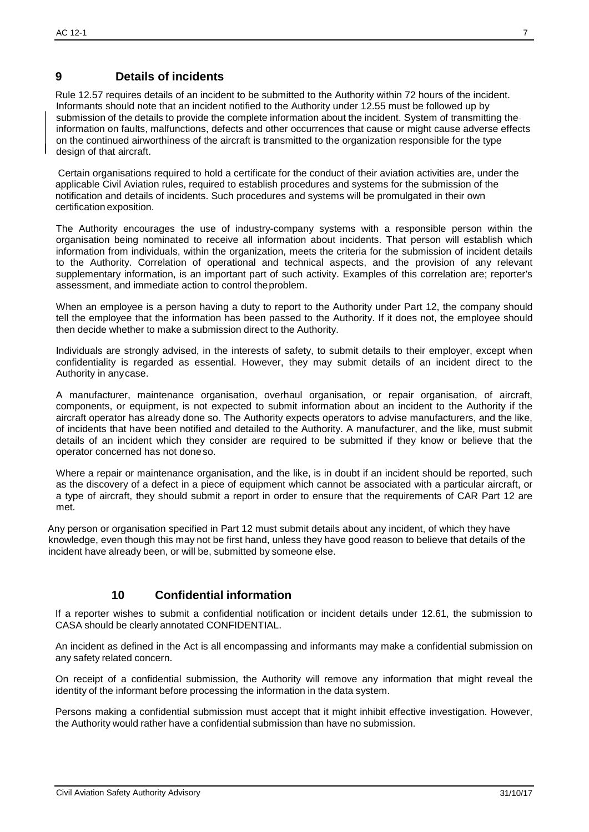## <span id="page-6-0"></span>**9 Details of incidents**

Rule 12.57 requires details of an incident to be submitted to the Authority within 72 hours of the incident. Informants should note that an incident notified to the Authority under 12.55 must be followed up by submission of the details to provide the complete information about the incident. System of transmitting the information on faults, malfunctions, defects and other occurrences that cause or might cause adverse effects on the continued airworthiness of the aircraft is transmitted to the organization responsible for the type design of that aircraft.

Certain organisations required to hold a certificate for the conduct of their aviation activities are, under the applicable Civil Aviation rules, required to establish procedures and systems for the submission of the notification and details of incidents. Such procedures and systems will be promulgated in their own certification exposition.

The Authority encourages the use of industry-company systems with a responsible person within the organisation being nominated to receive all information about incidents. That person will establish which information from individuals, within the organization, meets the criteria for the submission of incident details to the Authority. Correlation of operational and technical aspects, and the provision of any relevant supplementary information, is an important part of such activity. Examples of this correlation are; reporter's assessment, and immediate action to control theproblem.

When an employee is a person having a duty to report to the Authority under Part 12, the company should tell the employee that the information has been passed to the Authority. If it does not, the employee should then decide whether to make a submission direct to the Authority.

Individuals are strongly advised, in the interests of safety, to submit details to their employer, except when confidentiality is regarded as essential. However, they may submit details of an incident direct to the Authority in anycase.

A manufacturer, maintenance organisation, overhaul organisation, or repair organisation, of aircraft, components, or equipment, is not expected to submit information about an incident to the Authority if the aircraft operator has already done so. The Authority expects operators to advise manufacturers, and the like, of incidents that have been notified and detailed to the Authority. A manufacturer, and the like, must submit details of an incident which they consider are required to be submitted if they know or believe that the operator concerned has not doneso.

Where a repair or maintenance organisation, and the like, is in doubt if an incident should be reported, such as the discovery of a defect in a piece of equipment which cannot be associated with a particular aircraft, or a type of aircraft, they should submit a report in order to ensure that the requirements of CAR Part 12 are met.

Any person or organisation specified in Part 12 must submit details about any incident, of which they have knowledge, even though this may not be first hand, unless they have good reason to believe that details of the incident have already been, or will be, submitted by someone else.

# **10 Confidential information**

<span id="page-6-1"></span>If a reporter wishes to submit a confidential notification or incident details under 12.61, the submission to CASA should be clearly annotated CONFIDENTIAL.

An incident as defined in the Act is all encompassing and informants may make a confidential submission on any safety related concern.

On receipt of a confidential submission, the Authority will remove any information that might reveal the identity of the informant before processing the information in the data system.

Persons making a confidential submission must accept that it might inhibit effective investigation. However, the Authority would rather have a confidential submission than have no submission.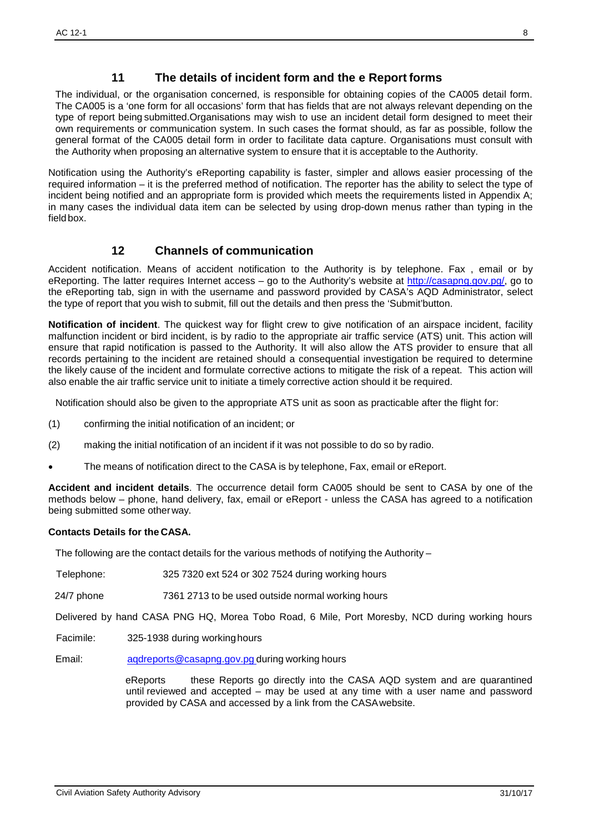## **11 The details of incident form and the e Report forms**

The individual, or the organisation concerned, is responsible for obtaining copies of the CA005 detail form. The CA005 is a 'one form for all occasions' form that has fields that are not always relevant depending on the type of report being submitted.Organisations may wish to use an incident detail form designed to meet their own requirements or communication system. In such cases the format should, as far as possible, follow the general format of the CA005 detail form in order to facilitate data capture. Organisations must consult with the Authority when proposing an alternative system to ensure that it is acceptable to the Authority.

Notification using the Authority's eReporting capability is faster, simpler and allows easier processing of the required information – it is the preferred method of notification. The reporter has the ability to select the type of incident being notified and an appropriate form is provided which meets the requirements listed in Appendix A; in many cases the individual data item can be selected by using drop-down menus rather than typing in the field box.

### **12 Channels of communication**

<span id="page-7-0"></span>Accident notification. Means of accident notification to the Authority is by telephone. Fax , email or by eReporting. The latter requires Internet access – go to the Authority's website at [http://casapng.gov.pg/,](http://casapng.gov.pg/) go to the eReporting tab, sign in with the username and password provided by CASA's AQD Administrator, select the type of report that you wish to submit, fill out the details and then press the 'Submit'button.

**Notification of incident**. The quickest way for flight crew to give notification of an airspace incident, facility malfunction incident or bird incident, is by radio to the appropriate air traffic service (ATS) unit. This action will ensure that rapid notification is passed to the Authority. It will also allow the ATS provider to ensure that all records pertaining to the incident are retained should a consequential investigation be required to determine the likely cause of the incident and formulate corrective actions to mitigate the risk of a repeat. This action will also enable the air traffic service unit to initiate a timely corrective action should it be required.

Notification should also be given to the appropriate ATS unit as soon as practicable after the flight for:

- (1) confirming the initial notification of an incident; or
- (2) making the initial notification of an incident if it was not possible to do so by radio.
- The means of notification direct to the CASA is by telephone, Fax, email or eReport.

**Accident and incident details**. The occurrence detail form CA005 should be sent to CASA by one of the methods below – phone, hand delivery, fax, email or eReport - unless the CASA has agreed to a notification being submitted some otherway.

#### **Contacts Details for the CASA.**

The following are the contact details for the various methods of notifying the Authority  $-$ 

- Telephone: 325 7320 ext 524 or 302 7524 during working hours
- 24/7 phone 7361 2713 to be used outside normal working hours

Delivered by hand CASA PNG HQ, Morea Tobo Road, 6 Mile, Port Moresby, NCD during working hours

Facimile: 325-1938 during workinghours

Email: [aqdreports@casapng.gov.pg](mailto:aqdreports@casapng.gov.pg) during working hours

eReports these Reports go directly into the CASA AQD system and are quarantined until reviewed and accepted – may be used at any time with a user name and password provided by CASA and accessed by a link from the CASAwebsite.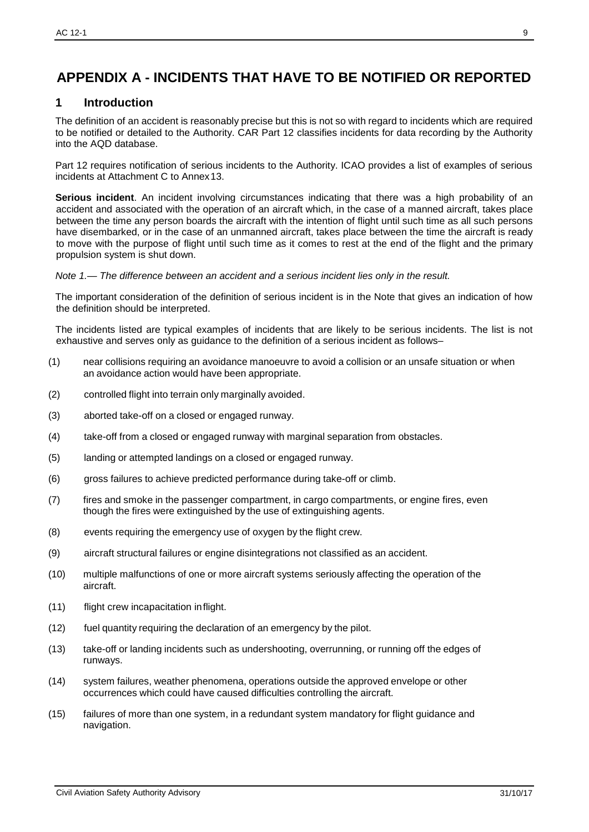# **APPENDIX A - INCIDENTS THAT HAVE TO BE NOTIFIED OR REPORTED**

### <span id="page-8-0"></span>**1 Introduction**

The definition of an accident is reasonably precise but this is not so with regard to incidents which are required to be notified or detailed to the Authority. CAR Part 12 classifies incidents for data recording by the Authority into the AQD database.

Part 12 requires notification of serious incidents to the Authority. ICAO provides a list of examples of serious incidents at Attachment C to Annex13.

**Serious incident**. An incident involving circumstances indicating that there was a high probability of an accident and associated with the operation of an aircraft which, in the case of a manned aircraft, takes place between the time any person boards the aircraft with the intention of flight until such time as all such persons have disembarked, or in the case of an unmanned aircraft, takes place between the time the aircraft is ready to move with the purpose of flight until such time as it comes to rest at the end of the flight and the primary propulsion system is shut down.

*Note 1.— The difference between an accident and a serious incident lies only in the result.*

The important consideration of the definition of serious incident is in the Note that gives an indication of how the definition should be interpreted.

The incidents listed are typical examples of incidents that are likely to be serious incidents. The list is not exhaustive and serves only as guidance to the definition of a serious incident as follows–

- (1) near collisions requiring an avoidance manoeuvre to avoid a collision or an unsafe situation or when an avoidance action would have been appropriate.
- (2) controlled flight into terrain only marginally avoided.
- (3) aborted take-off on a closed or engaged runway.
- (4) take-off from a closed or engaged runway with marginal separation from obstacles.
- (5) landing or attempted landings on a closed or engaged runway.
- (6) gross failures to achieve predicted performance during take-off or climb.
- (7) fires and smoke in the passenger compartment, in cargo compartments, or engine fires, even though the fires were extinguished by the use of extinguishing agents.
- (8) events requiring the emergency use of oxygen by the flight crew.
- (9) aircraft structural failures or engine disintegrations not classified as an accident.
- (10) multiple malfunctions of one or more aircraft systems seriously affecting the operation of the aircraft.
- (11) flight crew incapacitation inflight.
- (12) fuel quantity requiring the declaration of an emergency by the pilot.
- (13) take-off or landing incidents such as undershooting, overrunning, or running off the edges of runways.
- (14) system failures, weather phenomena, operations outside the approved envelope or other occurrences which could have caused difficulties controlling the aircraft.
- (15) failures of more than one system, in a redundant system mandatory for flight guidance and navigation.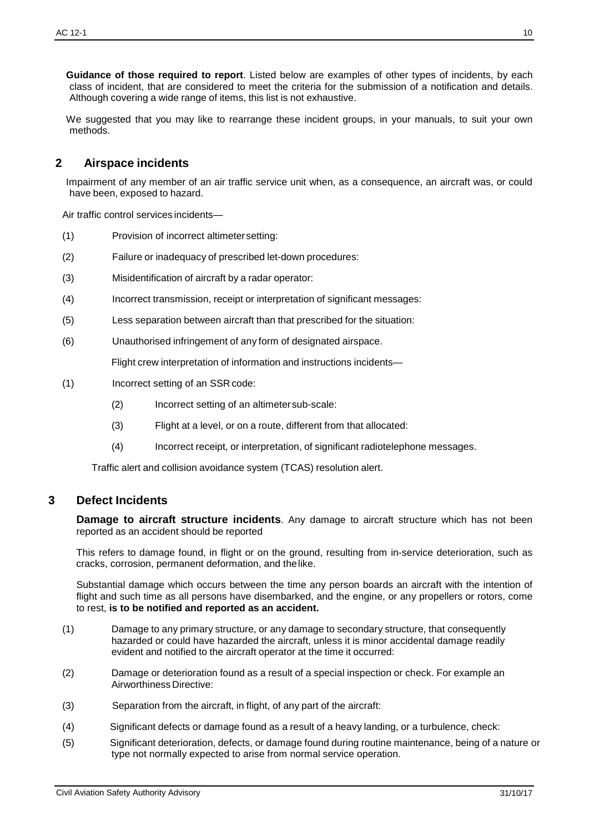- (3) Separation from the aircraft, in flight, of any part of the aircraft:
- (4) Significant defects or damage found as a result of a heavy landing, or a turbulence, check:
- (5) Significant deterioration, defects, or damage found during routine maintenance, being of a nature or type not normally expected to arise from normal service operation.

**Guidance of those required to report**. Listed below are examples of other types of incidents, by each class of incident, that are considered to meet the criteria for the submission of a notification and details. Although covering a wide range of items, this list is not exhaustive.

We suggested that you may like to rearrange these incident groups, in your manuals, to suit your own methods.

#### <span id="page-9-0"></span>**2 Airspace incidents**

Impairment of any member of an air traffic service unit when, as a consequence, an aircraft was, or could have been, exposed to hazard.

Air traffic control services incidents—

- (1) Provision of incorrect altimetersetting:
- (2) Failure or inadequacy of prescribed let-down procedures:
- (3) Misidentification of aircraft by a radar operator:
- (4) Incorrect transmission, receipt or interpretation of significant messages:
- (5) Less separation between aircraft than that prescribed for the situation:
- (6) Unauthorised infringement of any form of designated airspace.

Flight crew interpretation of information and instructions incidents—

- (1) Incorrect setting of an SSR code:
	- (2) Incorrect setting of an altimetersub-scale:
	- (3) Flight at a level, or on a route, different from that allocated:
	- (4) Incorrect receipt, or interpretation, of significant radiotelephone messages.

Traffic alert and collision avoidance system (TCAS) resolution alert.

#### <span id="page-9-1"></span>**3 Defect Incidents**

**Damage to aircraft structure incidents**. Any damage to aircraft structure which has not been reported as an accident should be reported

This refers to damage found, in flight or on the ground, resulting from in-service deterioration, such as cracks, corrosion, permanent deformation, and thelike.

Substantial damage which occurs between the time any person boards an aircraft with the intention of flight and such time as all persons have disembarked, and the engine, or any propellers or rotors, come to rest, **is to be notified and reported as an accident.**

- (1) Damage to any primary structure, or any damage to secondary structure, that consequently hazarded or could have hazarded the aircraft, unless it is minor accidental damage readily evident and notified to the aircraft operator at the time it occurred:
- (2) Damage or deterioration found as a result of a special inspection or check. For example an Airworthiness Directive: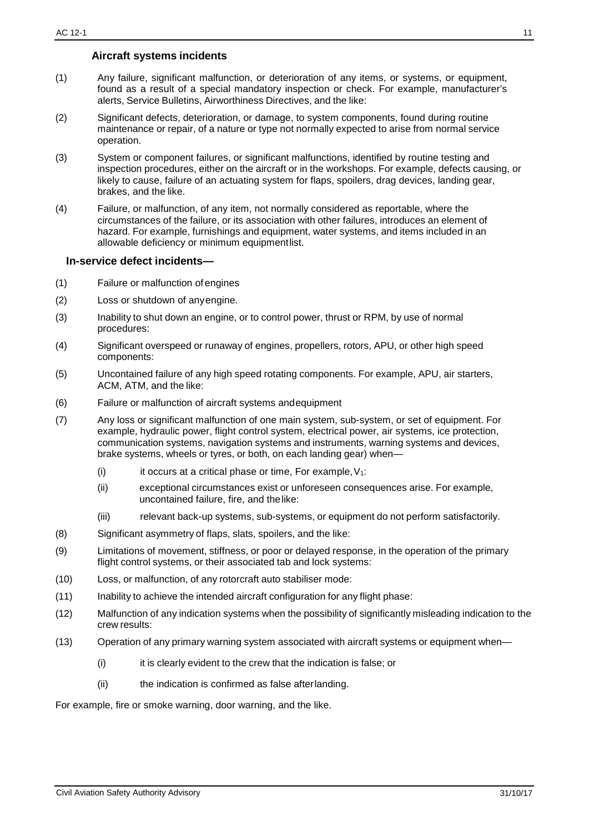#### **Aircraft systems incidents**

- <span id="page-10-0"></span>(1) Any failure, significant malfunction, or deterioration of any items, or systems, or equipment, found as a result of a special mandatory inspection or check. For example, manufacturer's alerts, Service Bulletins, Airworthiness Directives, and the like:
- (2) Significant defects, deterioration, or damage, to system components, found during routine maintenance or repair, of a nature or type not normally expected to arise from normal service operation.
- (3) System or component failures, or significant malfunctions, identified by routine testing and inspection procedures, either on the aircraft or in the workshops. For example, defects causing, or likely to cause, failure of an actuating system for flaps, spoilers, drag devices, landing gear, brakes, and the like.
- (4) Failure, or malfunction, of any item, not normally considered as reportable, where the circumstances of the failure, or its association with other failures, introduces an element of hazard. For example, furnishings and equipment, water systems, and items included in an allowable deficiency or minimum equipmentlist.

#### <span id="page-10-1"></span>**In-service defect incidents—**

- (1) Failure or malfunction of engines
- (2) Loss or shutdown of anyengine.
- (3) Inability to shut down an engine, or to control power, thrust or RPM, by use of normal procedures:
- (4) Significant overspeed or runaway of engines, propellers, rotors, APU, or other high speed components:
- (5) Uncontained failure of any high speed rotating components. For example, APU, air starters, ACM, ATM, and the like:
- (6) Failure or malfunction of aircraft systems andequipment
- (7) Any loss or significant malfunction of one main system, sub-system, or set of equipment. For example, hydraulic power, flight control system, electrical power, air systems, ice protection, communication systems, navigation systems and instruments, warning systems and devices, brake systems, wheels or tyres, or both, on each landing gear) when—
	- (i) it occurs at a critical phase or time, For example,  $V_1$ :
	- (ii) exceptional circumstances exist or unforeseen consequences arise. For example, uncontained failure, fire, and thelike:
	- (iii) relevant back-up systems, sub-systems, or equipment do not perform satisfactorily.
- (8) Significant asymmetry of flaps, slats, spoilers, and the like:
- (9) Limitations of movement, stiffness, or poor or delayed response, in the operation of the primary flight control systems, or their associated tab and lock systems:
- (10) Loss, or malfunction, of any rotorcraft auto stabiliser mode:
- (11) Inability to achieve the intended aircraft configuration for any flight phase:
- (12) Malfunction of any indication systems when the possibility of significantly misleading indication to the crew results:
- (13) Operation of any primary warning system associated with aircraft systems or equipment when—
	- (i) it is clearly evident to the crew that the indication is false; or
	- (ii) the indication is confirmed as false afterlanding.

For example, fire or smoke warning, door warning, and the like.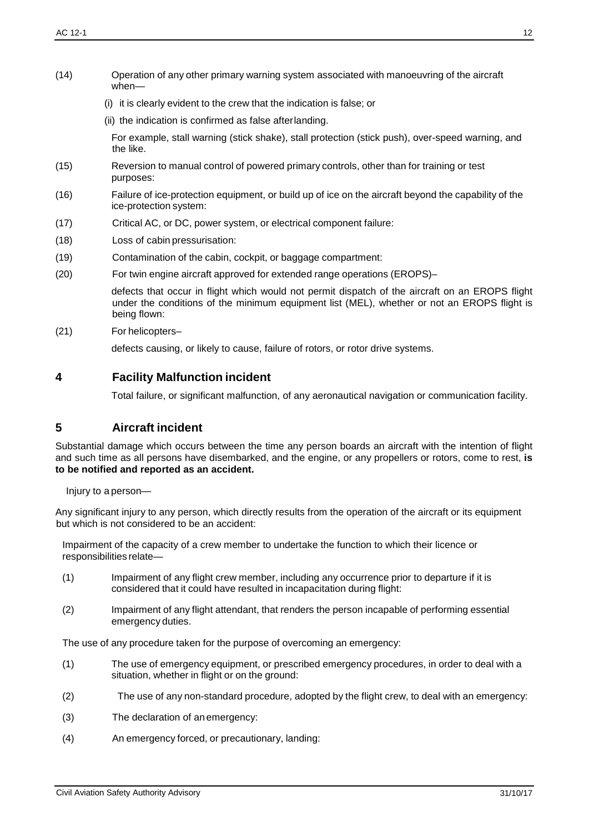- (14) Operation of any other primary warning system associated with manoeuvring of the aircraft when—
	- (i) it is clearly evident to the crew that the indication is false; or
	- (ii) the indication is confirmed as false afterlanding.

For example, stall warning (stick shake), stall protection (stick push), over-speed warning, and the like.

- (15) Reversion to manual control of powered primary controls, other than for training or test purposes:
- (16) Failure of ice-protection equipment, or build up of ice on the aircraft beyond the capability of the ice-protection system:
- (17) Critical AC, or DC, power system, or electrical component failure:
- (18) Loss of cabin pressurisation:
- (19) Contamination of the cabin, cockpit, or baggage compartment:
- (20) For twin engine aircraft approved for extended range operations (EROPS)–

defects that occur in flight which would not permit dispatch of the aircraft on an EROPS flight under the conditions of the minimum equipment list (MEL), whether or not an EROPS flight is being flown:

(21) For helicopters–

defects causing, or likely to cause, failure of rotors, or rotor drive systems.

## **4 Facility Malfunction incident**

Total failure, or significant malfunction, of any aeronautical navigation or communication facility.

## **5 Aircraft incident**

Substantial damage which occurs between the time any person boards an aircraft with the intention of flight and such time as all persons have disembarked, and the engine, or any propellers or rotors, come to rest, **is to be notified and reported as an accident.**

Injury to a person—

Any significant injury to any person, which directly results from the operation of the aircraft or its equipment but which is not considered to be an accident:

Impairment of the capacity of a crew member to undertake the function to which their licence or responsibilities relate—

- (1) Impairment of any flight crew member, including any occurrence prior to departure if it is considered that it could have resulted in incapacitation during flight:
- (2) Impairment of any flight attendant, that renders the person incapable of performing essential emergency duties.

The use of any procedure taken for the purpose of overcoming an emergency:

- (1) The use of emergency equipment, or prescribed emergency procedures, in order to deal with a situation, whether in flight or on the ground:
- (2) The use of any non-standard procedure, adopted by the flight crew, to deal with an emergency:
- (3) The declaration of an emergency:
- (4) An emergency forced, or precautionary, landing: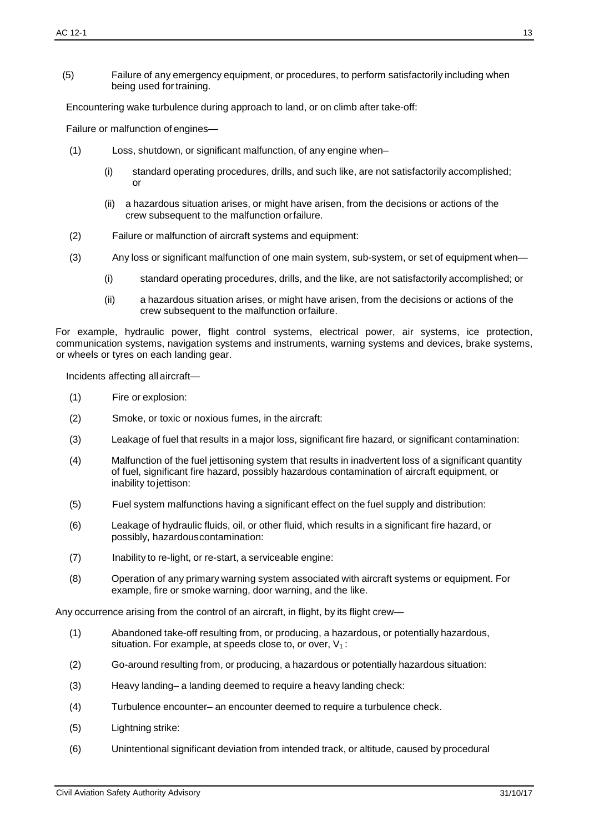(5) Failure of any emergency equipment, or procedures, to perform satisfactorily including when being used for training.

Encountering wake turbulence during approach to land, or on climb after take-off:

Failure or malfunction of engines—

- (1) Loss, shutdown, or significant malfunction, of any engine when–
	- (i) standard operating procedures, drills, and such like, are not satisfactorily accomplished; or
	- (ii) a hazardous situation arises, or might have arisen, from the decisions or actions of the crew subsequent to the malfunction orfailure.
- (2) Failure or malfunction of aircraft systems and equipment:
- (3) Any loss or significant malfunction of one main system, sub-system, or set of equipment when—
	- (i) standard operating procedures, drills, and the like, are not satisfactorily accomplished; or
	- (ii) a hazardous situation arises, or might have arisen, from the decisions or actions of the crew subsequent to the malfunction orfailure.

For example, hydraulic power, flight control systems, electrical power, air systems, ice protection, communication systems, navigation systems and instruments, warning systems and devices, brake systems, or wheels or tyres on each landing gear.

Incidents affecting all aircraft—

- (1) Fire or explosion:
- (2) Smoke, or toxic or noxious fumes, in the aircraft:
- (3) Leakage of fuel that results in a major loss, significant fire hazard, or significant contamination:
- (4) Malfunction of the fuel jettisoning system that results in inadvertent loss of a significant quantity of fuel, significant fire hazard, possibly hazardous contamination of aircraft equipment, or inability tojettison:
- (5) Fuel system malfunctions having a significant effect on the fuel supply and distribution:
- (6) Leakage of hydraulic fluids, oil, or other fluid, which results in a significant fire hazard, or possibly, hazardouscontamination:
- (7) Inability to re-light, or re-start, a serviceable engine:
- (8) Operation of any primary warning system associated with aircraft systems or equipment. For example, fire or smoke warning, door warning, and the like.

Any occurrence arising from the control of an aircraft, in flight, by its flight crew—

- (1) Abandoned take-off resulting from, or producing, a hazardous, or potentially hazardous, situation. For example, at speeds close to, or over,  $V_1$ :
- (2) Go-around resulting from, or producing, a hazardous or potentially hazardous situation:
- (3) Heavy landing– a landing deemed to require a heavy landing check:
- (4) Turbulence encounter– an encounter deemed to require a turbulence check.
- (5) Lightning strike:
- (6) Unintentional significant deviation from intended track, or altitude, caused by procedural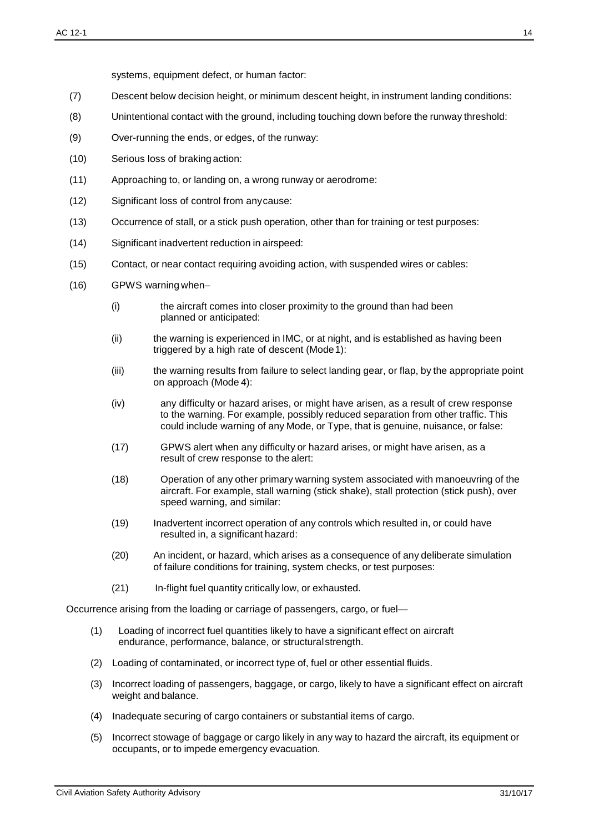systems, equipment defect, or human factor:

- (7) Descent below decision height, or minimum descent height, in instrument landing conditions:
- (8) Unintentional contact with the ground, including touching down before the runway threshold:
- (9) Over-running the ends, or edges, of the runway:
- (10) Serious loss of braking action:
- (11) Approaching to, or landing on, a wrong runway or aerodrome:
- (12) Significant loss of control from anycause:
- (13) Occurrence of stall, or a stick push operation, other than for training or test purposes:
- (14) Significant inadvertent reduction in airspeed:
- (15) Contact, or near contact requiring avoiding action, with suspended wires or cables:
- (16) GPWS warning when–
	- (i) the aircraft comes into closer proximity to the ground than had been planned or anticipated:
	- (ii) the warning is experienced in IMC, or at night, and is established as having been triggered by a high rate of descent (Mode 1):
	- (iii) the warning results from failure to select landing gear, or flap, by the appropriate point on approach (Mode 4):
	- (iv) any difficulty or hazard arises, or might have arisen, as a result of crew response to the warning. For example, possibly reduced separation from other traffic. This could include warning of any Mode, or Type, that is genuine, nuisance, or false:
	- (17) GPWS alert when any difficulty or hazard arises, or might have arisen, as a result of crew response to the alert:
	- (18) Operation of any other primary warning system associated with manoeuvring of the aircraft. For example, stall warning (stick shake), stall protection (stick push), over speed warning, and similar:
	- (19) Inadvertent incorrect operation of any controls which resulted in, or could have resulted in, a significant hazard:
	- (20) An incident, or hazard, which arises as a consequence of any deliberate simulation of failure conditions for training, system checks, or test purposes:
	- (21) In-flight fuel quantity critically low, or exhausted.

Occurrence arising from the loading or carriage of passengers, cargo, or fuel—

- (1) Loading of incorrect fuel quantities likely to have a significant effect on aircraft endurance, performance, balance, or structuralstrength.
- (2) Loading of contaminated, or incorrect type of, fuel or other essential fluids.
- (3) Incorrect loading of passengers, baggage, or cargo, likely to have a significant effect on aircraft weight and balance.
- (4) Inadequate securing of cargo containers or substantial items of cargo.
- (5) Incorrect stowage of baggage or cargo likely in any way to hazard the aircraft, its equipment or occupants, or to impede emergency evacuation.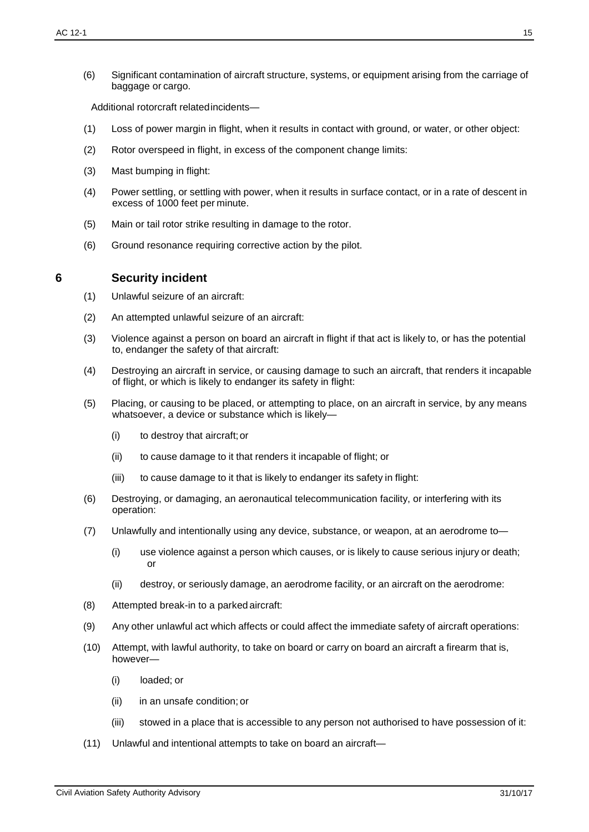(6) Significant contamination of aircraft structure, systems, or equipment arising from the carriage of baggage or cargo.

Additional rotorcraft relatedincidents—

- (1) Loss of power margin in flight, when it results in contact with ground, or water, or other object:
- (2) Rotor overspeed in flight, in excess of the component change limits:
- (3) Mast bumping in flight:
- (4) Power settling, or settling with power, when it results in surface contact, or in a rate of descent in excess of 1000 feet per minute.
- (5) Main or tail rotor strike resulting in damage to the rotor.
- (6) Ground resonance requiring corrective action by the pilot.

### **6 Security incident**

- (1) Unlawful seizure of an aircraft:
- (2) An attempted unlawful seizure of an aircraft:
- (3) Violence against a person on board an aircraft in flight if that act is likely to, or has the potential to, endanger the safety of that aircraft:
- (4) Destroying an aircraft in service, or causing damage to such an aircraft, that renders it incapable of flight, or which is likely to endanger its safety in flight:
- (5) Placing, or causing to be placed, or attempting to place, on an aircraft in service, by any means whatsoever, a device or substance which is likely-
	- (i) to destroy that aircraft;or
	- (ii) to cause damage to it that renders it incapable of flight; or
	- (iii) to cause damage to it that is likely to endanger its safety in flight:
- (6) Destroying, or damaging, an aeronautical telecommunication facility, or interfering with its operation:
- (7) Unlawfully and intentionally using any device, substance, or weapon, at an aerodrome to—
	- (i) use violence against a person which causes, or is likely to cause serious injury or death; or
	- (ii) destroy, or seriously damage, an aerodrome facility, or an aircraft on the aerodrome:
- (8) Attempted break-in to a parked aircraft:
- (9) Any other unlawful act which affects or could affect the immediate safety of aircraft operations:
- (10) Attempt, with lawful authority, to take on board or carry on board an aircraft a firearm that is, however—
	- (i) loaded; or
	- (ii) in an unsafe condition; or
	- (iii) stowed in a place that is accessible to any person not authorised to have possession of it:
- (11) Unlawful and intentional attempts to take on board an aircraft—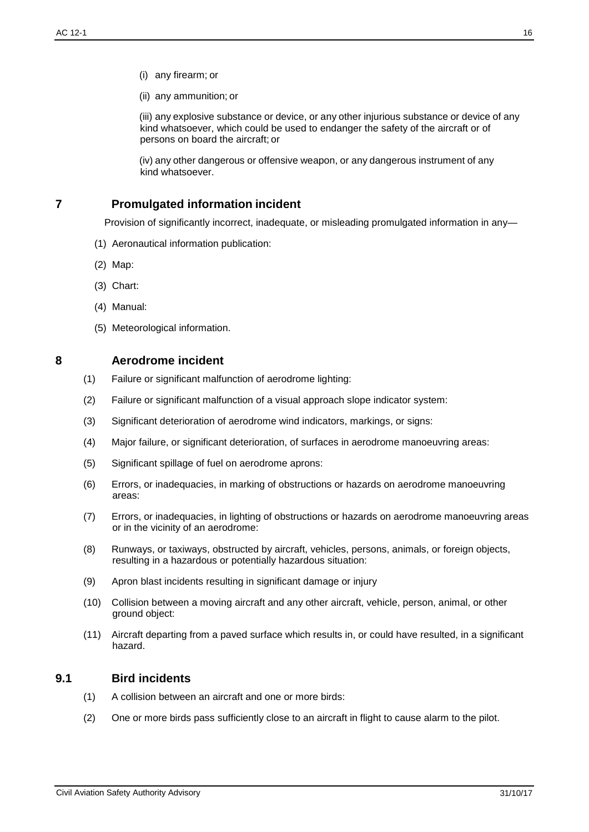- (i) any firearm; or
- (ii) any ammunition; or

(iii) any explosive substance or device, or any other injurious substance or device of any kind whatsoever, which could be used to endanger the safety of the aircraft or of persons on board the aircraft; or

(iv) any other dangerous or offensive weapon, or any dangerous instrument of any kind whatsoever.

## **7 Promulgated information incident**

Provision of significantly incorrect, inadequate, or misleading promulgated information in any—

- (1) Aeronautical information publication:
- (2) Map:
- (3) Chart:
- (4) Manual:
- (5) Meteorological information.
- 

#### **8 Aerodrome incident**

- (1) Failure or significant malfunction of aerodrome lighting:
- (2) Failure or significant malfunction of a visual approach slope indicator system:
- (3) Significant deterioration of aerodrome wind indicators, markings, or signs:
- (4) Major failure, or significant deterioration, of surfaces in aerodrome manoeuvring areas:
- (5) Significant spillage of fuel on aerodrome aprons:
- (6) Errors, or inadequacies, in marking of obstructions or hazards on aerodrome manoeuvring areas:
- (7) Errors, or inadequacies, in lighting of obstructions or hazards on aerodrome manoeuvring areas or in the vicinity of an aerodrome:
- (8) Runways, or taxiways, obstructed by aircraft, vehicles, persons, animals, or foreign objects, resulting in a hazardous or potentially hazardous situation:
- (9) Apron blast incidents resulting in significant damage or injury
- (10) Collision between a moving aircraft and any other aircraft, vehicle, person, animal, or other ground object:
- (11) Aircraft departing from a paved surface which results in, or could have resulted, in a significant hazard.

### **9.1 Bird incidents**

- (1) A collision between an aircraft and one or more birds:
- (2) One or more birds pass sufficiently close to an aircraft in flight to cause alarm to the pilot.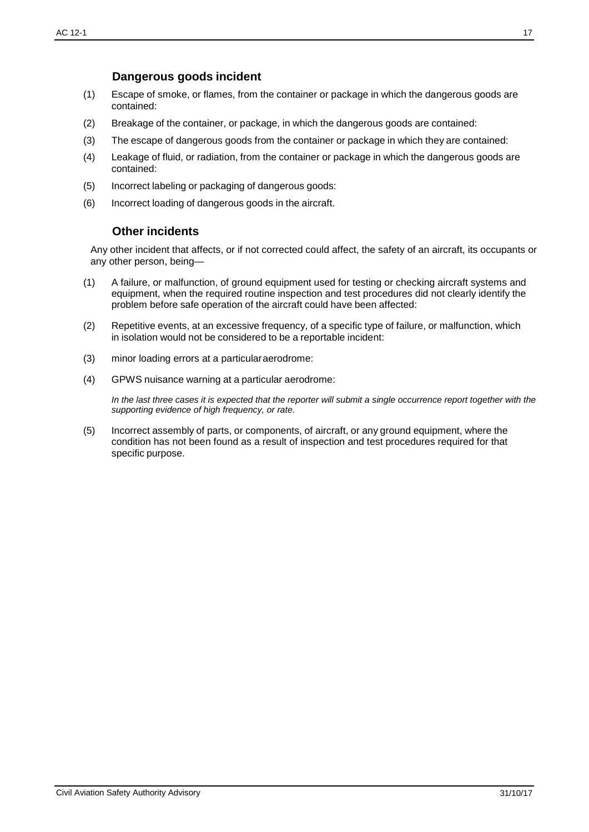### **Dangerous goods incident**

- (1) Escape of smoke, or flames, from the container or package in which the dangerous goods are contained:
- (2) Breakage of the container, or package, in which the dangerous goods are contained:
- (3) The escape of dangerous goods from the container or package in which they are contained:
- (4) Leakage of fluid, or radiation, from the container or package in which the dangerous goods are contained:
- (5) Incorrect labeling or packaging of dangerous goods:
- <span id="page-16-0"></span>(6) Incorrect loading of dangerous goods in the aircraft.

### **Other incidents**

Any other incident that affects, or if not corrected could affect, the safety of an aircraft, its occupants or any other person, being—

- (1) A failure, or malfunction, of ground equipment used for testing or checking aircraft systems and equipment, when the required routine inspection and test procedures did not clearly identify the problem before safe operation of the aircraft could have been affected:
- (2) Repetitive events, at an excessive frequency, of a specific type of failure, or malfunction, which in isolation would not be considered to be a reportable incident:
- (3) minor loading errors at a particularaerodrome:
- (4) GPWS nuisance warning at a particular aerodrome:

In the last three cases it is expected that the reporter will submit a single occurrence report together with the *supporting evidence of high frequency, or rate.*

(5) Incorrect assembly of parts, or components, of aircraft, or any ground equipment, where the condition has not been found as a result of inspection and test procedures required for that specific purpose.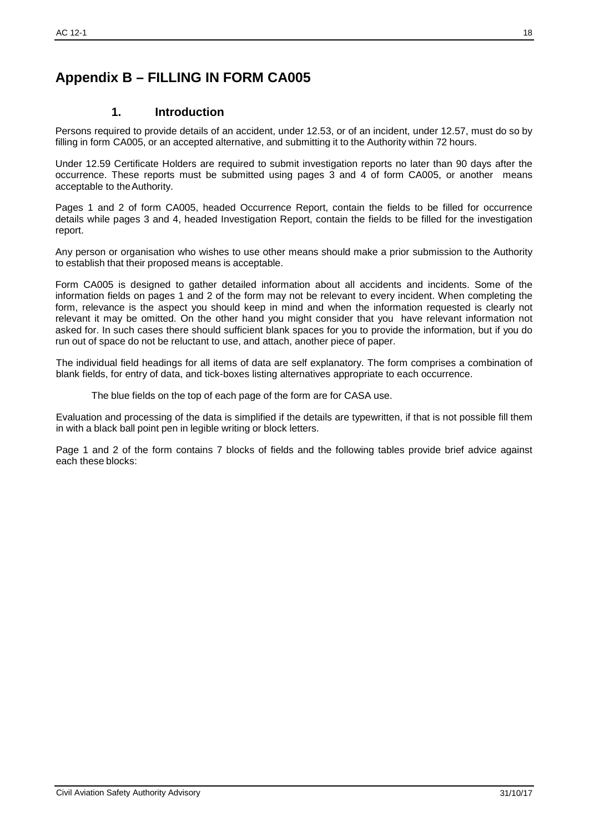# <span id="page-17-0"></span>**Appendix B – FILLING IN FORM CA005**

### **1. Introduction**

Persons required to provide details of an accident, under 12.53, or of an incident, under 12.57, must do so by filling in form CA005, or an accepted alternative, and submitting it to the Authority within 72 hours.

Under 12.59 Certificate Holders are required to submit investigation reports no later than 90 days after the occurrence. These reports must be submitted using pages 3 and 4 of form CA005, or another means acceptable to theAuthority.

Pages 1 and 2 of form CA005, headed Occurrence Report, contain the fields to be filled for occurrence details while pages 3 and 4, headed Investigation Report, contain the fields to be filled for the investigation report.

Any person or organisation who wishes to use other means should make a prior submission to the Authority to establish that their proposed means is acceptable.

Form CA005 is designed to gather detailed information about all accidents and incidents. Some of the information fields on pages 1 and 2 of the form may not be relevant to every incident. When completing the form, relevance is the aspect you should keep in mind and when the information requested is clearly not relevant it may be omitted. On the other hand you might consider that you have relevant information not asked for. In such cases there should sufficient blank spaces for you to provide the information, but if you do run out of space do not be reluctant to use, and attach, another piece of paper.

The individual field headings for all items of data are self explanatory. The form comprises a combination of blank fields, for entry of data, and tick-boxes listing alternatives appropriate to each occurrence.

The blue fields on the top of each page of the form are for CASA use.

Evaluation and processing of the data is simplified if the details are typewritten, if that is not possible fill them in with a black ball point pen in legible writing or block letters.

Page 1 and 2 of the form contains 7 blocks of fields and the following tables provide brief advice against each these blocks: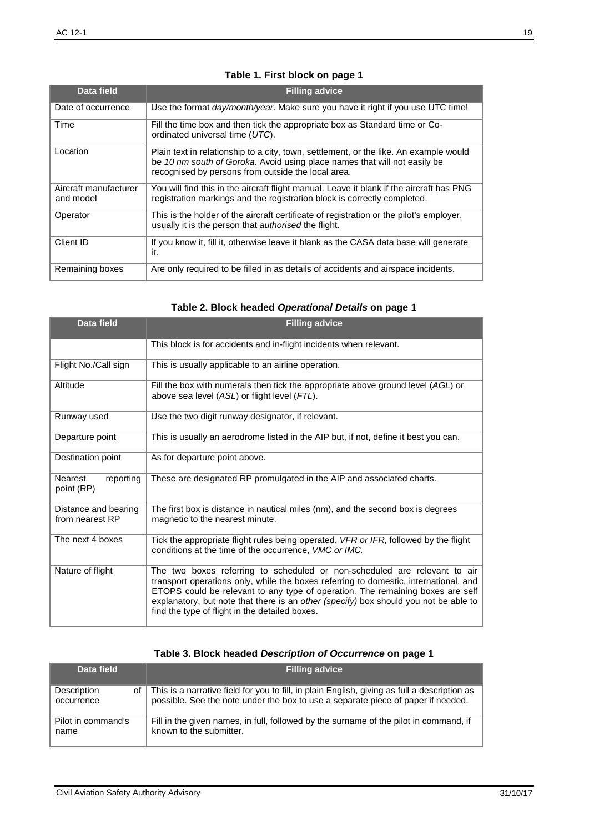# **Table 1. First block on page 1**

| Data field                         | <b>Filling advice</b>                                                                                                                                                                                                    |
|------------------------------------|--------------------------------------------------------------------------------------------------------------------------------------------------------------------------------------------------------------------------|
| Date of occurrence                 | Use the format <i>day/month/year</i> . Make sure you have it right if you use UTC time!                                                                                                                                  |
| Time                               | Fill the time box and then tick the appropriate box as Standard time or Co-<br>ordinated universal time (UTC).                                                                                                           |
| Location                           | Plain text in relationship to a city, town, settlement, or the like. An example would<br>be 10 nm south of Goroka. Avoid using place names that will not easily be<br>recognised by persons from outside the local area. |
| Aircraft manufacturer<br>and model | You will find this in the aircraft flight manual. Leave it blank if the aircraft has PNG<br>registration markings and the registration block is correctly completed.                                                     |
| Operator                           | This is the holder of the aircraft certificate of registration or the pilot's employer,<br>usually it is the person that <i>authorised</i> the flight.                                                                   |
| Client ID                          | If you know it, fill it, otherwise leave it blank as the CASA data base will generate<br>it.                                                                                                                             |
| Remaining boxes                    | Are only required to be filled in as details of accidents and airspace incidents.                                                                                                                                        |

# **Table 2. Block headed** *Operational Details* **on page 1**

| Data field                              | <b>Filling advice</b>                                                                                                                                                                                                                                                                                                                                                                         |
|-----------------------------------------|-----------------------------------------------------------------------------------------------------------------------------------------------------------------------------------------------------------------------------------------------------------------------------------------------------------------------------------------------------------------------------------------------|
|                                         | This block is for accidents and in-flight incidents when relevant.                                                                                                                                                                                                                                                                                                                            |
| Flight No./Call sign                    | This is usually applicable to an airline operation.                                                                                                                                                                                                                                                                                                                                           |
| Altitude                                | Fill the box with numerals then tick the appropriate above ground level (AGL) or<br>above sea level (ASL) or flight level (FTL).                                                                                                                                                                                                                                                              |
| Runway used                             | Use the two digit runway designator, if relevant.                                                                                                                                                                                                                                                                                                                                             |
| Departure point                         | This is usually an aerodrome listed in the AIP but, if not, define it best you can.                                                                                                                                                                                                                                                                                                           |
| Destination point                       | As for departure point above.                                                                                                                                                                                                                                                                                                                                                                 |
| Nearest<br>reporting<br>point (RP)      | These are designated RP promulgated in the AIP and associated charts.                                                                                                                                                                                                                                                                                                                         |
| Distance and bearing<br>from nearest RP | The first box is distance in nautical miles (nm), and the second box is degrees<br>magnetic to the nearest minute.                                                                                                                                                                                                                                                                            |
| The next 4 boxes                        | Tick the appropriate flight rules being operated, VFR or IFR, followed by the flight<br>conditions at the time of the occurrence, VMC or IMC.                                                                                                                                                                                                                                                 |
| Nature of flight                        | The two boxes referring to scheduled or non-scheduled are relevant to air<br>transport operations only, while the boxes referring to domestic, international, and<br>ETOPS could be relevant to any type of operation. The remaining boxes are self<br>explanatory, but note that there is an other (specify) box should you not be able to<br>find the type of flight in the detailed boxes. |

# **Table 3. Block headed** *Description of Occurrence* **on page 1**

| Data field                      | <b>Filling advice</b>                                                                                                                                                            |
|---------------------------------|----------------------------------------------------------------------------------------------------------------------------------------------------------------------------------|
| Description<br>of<br>occurrence | This is a narrative field for you to fill, in plain English, giving as full a description as<br>possible. See the note under the box to use a separate piece of paper if needed. |
| Pilot in command's<br>name      | Fill in the given names, in full, followed by the surname of the pilot in command, if<br>known to the submitter.                                                                 |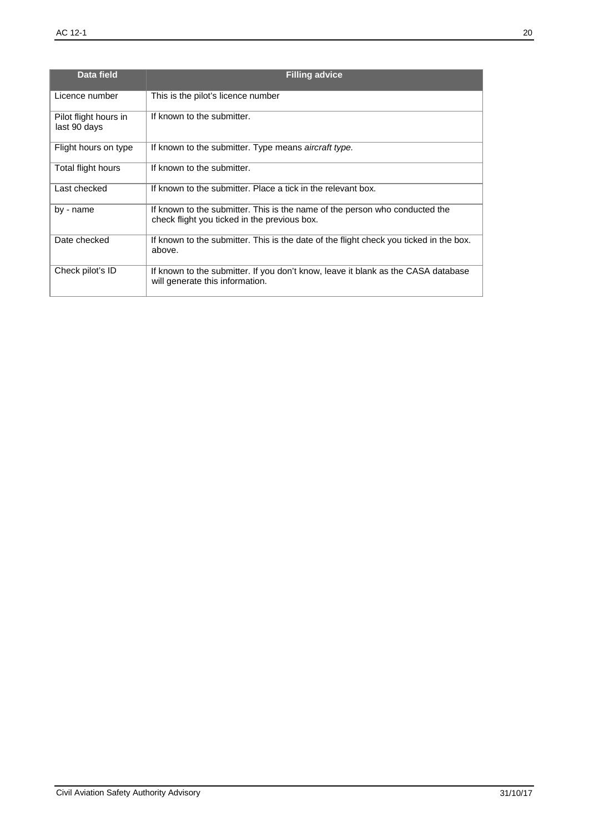| Data field                            | <b>Filling advice</b>                                                                                                       |  |
|---------------------------------------|-----------------------------------------------------------------------------------------------------------------------------|--|
| Licence number                        | This is the pilot's licence number                                                                                          |  |
| Pilot flight hours in<br>last 90 days | If known to the submitter.                                                                                                  |  |
| Flight hours on type                  | If known to the submitter. Type means aircraft type.                                                                        |  |
| Total flight hours                    | If known to the submitter.                                                                                                  |  |
| Last checked                          | If known to the submitter. Place a tick in the relevant box.                                                                |  |
| by - name                             | If known to the submitter. This is the name of the person who conducted the<br>check flight you ticked in the previous box. |  |
| Date checked                          | If known to the submitter. This is the date of the flight check you ticked in the box.<br>above.                            |  |
| Check pilot's ID                      | If known to the submitter. If you don't know, leave it blank as the CASA database<br>will generate this information.        |  |